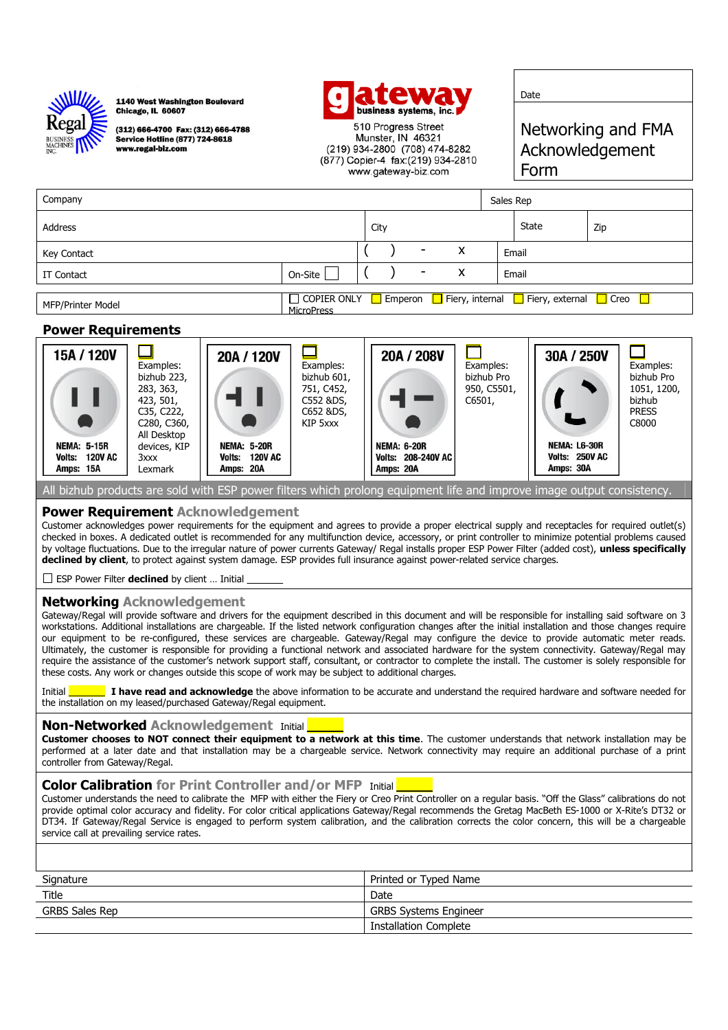

1140 West Washington Boulevard **Chicago, IL 60607** 

(312) 666-4700 Fax: (312) 666-4788 **Service Hotline (877) 724-8618** www.regal-biz.com



510 Progress Street Munster, IN 46321 (219) 934-2800 (708) 474-8282 (877) Copier-4 fax: (219) 934-2810 www.gateway-biz.com

Date

Networking and FMA Acknowledgement Form

| Company           |                   |      |                          |   | Sales Rep |                                                                                                    |     |
|-------------------|-------------------|------|--------------------------|---|-----------|----------------------------------------------------------------------------------------------------|-----|
| Address           |                   | City |                          |   |           | State                                                                                              | Zip |
| Key Contact       |                   |      | -                        | x |           | Email                                                                                              |     |
| IT Contact        | On-Site           |      | $\overline{\phantom{a}}$ | x |           | Email                                                                                              |     |
|                   |                   |      |                          |   |           |                                                                                                    |     |
| MFP/Printer Model | <b>MicroPress</b> |      |                          |   |           | $\Box$ COPIER ONLY $\Box$ Emperon $\Box$ Fiery, internal $\Box$ Fiery, external $\Box$ Creo $\Box$ |     |

## **Power Requirements**



All bizhub products are sold with ESP power filters which prolong equipment life and improve image output consistency.

### **Power Requirement Acknowledgement**

Customer acknowledges power requirements for the equipment and agrees to provide a proper electrical supply and receptacles for required outlet(s) checked in boxes. A dedicated outlet is recommended for any multifunction device, accessory, or print controller to minimize potential problems caused by voltage fluctuations. Due to the irregular nature of power currents Gateway/ Regal installs proper ESP Power Filter (added cost), **unless specifically declined by client**, to protect against system damage. ESP provides full insurance against power-related service charges.

 $\Box$  ESP Power Filter **declined** by client ... Initial

## **Networking Acknowledgement**

Gateway/Regal will provide software and drivers for the equipment described in this document and will be responsible for installing said software on 3 workstations. Additional installations are chargeable. If the listed network configuration changes after the initial installation and those changes require our equipment to be re-configured, these services are chargeable. Gateway/Regal may configure the device to provide automatic meter reads. Ultimately, the customer is responsible for providing a functional network and associated hardware for the system connectivity. Gateway/Regal may require the assistance of the customer's network support staff, consultant, or contractor to complete the install. The customer is solely responsible for these costs. Any work or changes outside this scope of work may be subject to additional charges.

Initial \_\_\_\_\_\_\_ **I have read and acknowledge** the above information to be accurate and understand the required hardware and software needed for the installation on my leased/purchased Gateway/Regal equipment.

#### **Non-Networked Acknowledgement** Initial

**Customer chooses to NOT connect their equipment to a network at this time**. The customer understands that network installation may be performed at a later date and that installation may be a chargeable service. Network connectivity may require an additional purchase of a print controller from Gateway/Regal.

#### **Color Calibration** for Print Controller and/or MFP Initial

Customer understands the need to calibrate the MFP with either the Fiery or Creo Print Controller on a regular basis. "Off the Glass" calibrations do not provide optimal color accuracy and fidelity. For color critical applications Gateway/Regal recommends the Gretag MacBeth ES-1000 or X-Rite's DT32 or DT34. If Gateway/Regal Service is engaged to perform system calibration, and the calibration corrects the color concern, this will be a chargeable service call at prevailing service rates.

| Signature      | Printed or Typed Name        |
|----------------|------------------------------|
| Title          | Date                         |
| GRBS Sales Rep | <b>GRBS Systems Engineer</b> |
|                | Installation Complete        |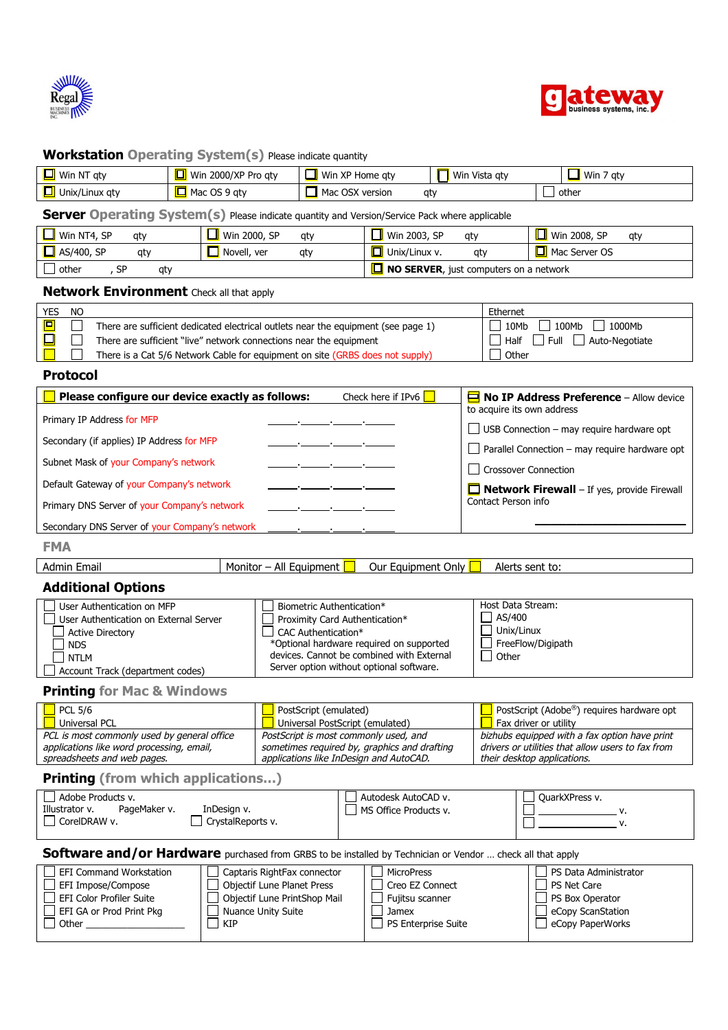



## **Workstation Operating System(s)** Please indicate quantity

| Win NT gty<br><u>ப</u> | 2000/XP Pro gty<br>Win | Win XP Home gty      | Win Vista gty | Win<br>atv |
|------------------------|------------------------|----------------------|---------------|------------|
| Unix/Linux gty<br>LЦ   | . OS 9 atv<br>Mac      | Mac OSX<br>. version | at            | other      |

# **Server Operating System(s)** Please indicate quantity and Version/Service Pack where applicable

| l Win NT4, SP                    | <b>_∥</b> Win 2000, SP | Win 2003, SP                                  | <b>Win 2008, SP</b> |
|----------------------------------|------------------------|-----------------------------------------------|---------------------|
| aty                              | qt                     | aty                                           | qty                 |
| / AS/400, SP                     | Novell, ver            | Unix/Linux v.                                 | Mac Server OS       |
| aty                              | qt                     | at                                            |                     |
| <b>SD</b><br>, other<br>qty<br>ັ |                        | $\Box$ NO SERVER, just computers on a network |                     |

# **Network Environment** Check all that apply

| YES. | <b>NC</b> |                                                                                   | Ethernet                          |
|------|-----------|-----------------------------------------------------------------------------------|-----------------------------------|
|      |           | There are sufficient dedicated electrical outlets near the equipment (see page 1) | 100Mb  <br>10Mb<br>$\mid$ 1000Mb  |
|      |           | There are sufficient "live" network connections near the equipment                | $\Box$ Full $\Box$ Auto-Negotiate |
|      |           | There is a Cat 5/6 Network Cable for equipment on site (GRBS does not supply)     | Other                             |

#### **Protocol**

| Please configure our device exactly as follows: |                                                                                                                       | Check here if IPv6 $\Box$ | $\Box$ No IP Address Preference - Allow device     |
|-------------------------------------------------|-----------------------------------------------------------------------------------------------------------------------|---------------------------|----------------------------------------------------|
|                                                 |                                                                                                                       |                           | to acquire its own address                         |
| Primary IP Address for MFP                      |                                                                                                                       |                           | JUSB Connection - may require hardware opt         |
| Secondary (if applies) IP Address for MFP       |                                                                                                                       |                           | J Parallel Connection - may require hardware opt   |
| Subnet Mask of your Company's network           |                                                                                                                       |                           |                                                    |
|                                                 |                                                                                                                       |                           | Crossover Connection                               |
| Default Gateway of your Company's network       |                                                                                                                       |                           | $\Box$ Network Firewall – If yes, provide Firewall |
| Primary DNS Server of your Company's network    | <u> 1986 - Jan James James James James James James James James James James James James James James James James Ja</u> |                           | Contact Person info                                |
| Secondary DNS Server of your Company's network  |                                                                                                                       |                           |                                                    |

# **FMA**

| Email<br>Admin | All '<br>Monitor<br>' Eauipment | cauipment:<br>Jur<br>Only | sent to:<br>Alerts |  |
|----------------|---------------------------------|---------------------------|--------------------|--|
|----------------|---------------------------------|---------------------------|--------------------|--|

# **Additional Options**

| User Authentication on MFP             | Biometric Authentication*                 | Host Data Stream: |
|----------------------------------------|-------------------------------------------|-------------------|
| User Authentication on External Server | Proximity Card Authentication*            | AS/400            |
| <b>Active Directory</b>                | CAC Authentication*                       | Unix/Linux        |
| <b>NDS</b>                             | *Optional hardware required on supported  | FreeFlow/Digipath |
| <b>NTLM</b>                            | devices. Cannot be combined with External | Other             |
| Account Track (department codes)       | Server option without optional software.  |                   |

#### **Printing for Mac & Windows**

| <b>PCL 5/6</b>                              | PostScript (emulated)                        | PostScript (Adobe <sup>®</sup> ) requires hardware opt |
|---------------------------------------------|----------------------------------------------|--------------------------------------------------------|
| <b>Universal PCL</b>                        | Universal PostScript (emulated)              | Fax driver or utility                                  |
| PCL is most commonly used by general office | PostScript is most commonly used, and        | bizhubs equipped with a fax option have print          |
| applications like word processing, email,   | sometimes required by, graphics and drafting | drivers or utilities that allow users to fax from      |
| spreadsheets and web pages.                 | applications like InDesign and AutoCAD.      | their desktop applications.                            |

## **Printing (from which applications…)**

| Adobe Products v.              |                   | Autodesk AutoCAD v.   | OuarkXPress v. |
|--------------------------------|-------------------|-----------------------|----------------|
| Illustrator v.<br>PageMaker v. | InDesign v.       | MS Office Products v. |                |
| CorelDRAW v.                   | CrystalReports v. |                       |                |

**Software and/or Hardware** purchased from GRBS to be installed by Technician or Vendor ... check all that apply

| EFI Command Workstation  | Captaris RightFax connector  | MicroPress                 | PS Data Administrator |
|--------------------------|------------------------------|----------------------------|-----------------------|
| EFI Impose/Compose       | Objectif Lune Planet Press   | Creo EZ Connect            | PS Net Care           |
| EFI Color Profiler Suite | Objectif Lune PrintShop Mail | Fujitsu scanner            | PS Box Operator       |
| EFI GA or Prod Print Pkg | Nuance Unity Suite           | Jamex                      | eCopy ScanStation     |
| Other                    | KIP                          | <b>PS Enterprise Suite</b> | eCopy PaperWorks      |
|                          |                              |                            |                       |